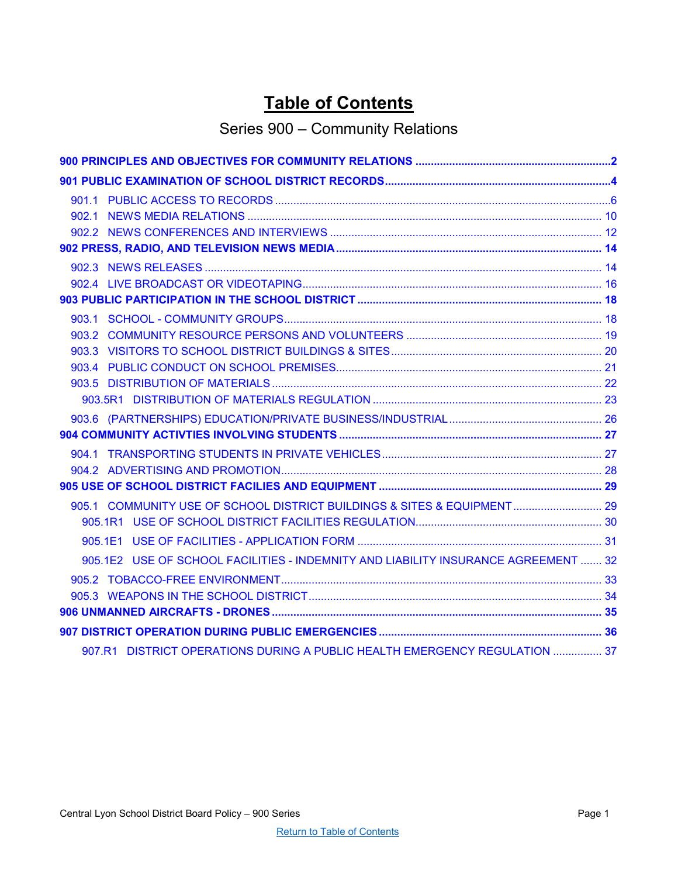# **Table of Contents**

# Series 900 – Community Relations

<span id="page-0-0"></span>

| 905.1 COMMUNITY USE OF SCHOOL DISTRICT BUILDINGS & SITES & EQUIPMENT 29            |  |
|------------------------------------------------------------------------------------|--|
|                                                                                    |  |
|                                                                                    |  |
| 905.1E2 USE OF SCHOOL FACILITIES - INDEMNITY AND LIABILITY INSURANCE AGREEMENT  32 |  |
|                                                                                    |  |
|                                                                                    |  |
|                                                                                    |  |
|                                                                                    |  |
| 907.R1 DISTRICT OPERATIONS DURING A PUBLIC HEALTH EMERGENCY REGULATION  37         |  |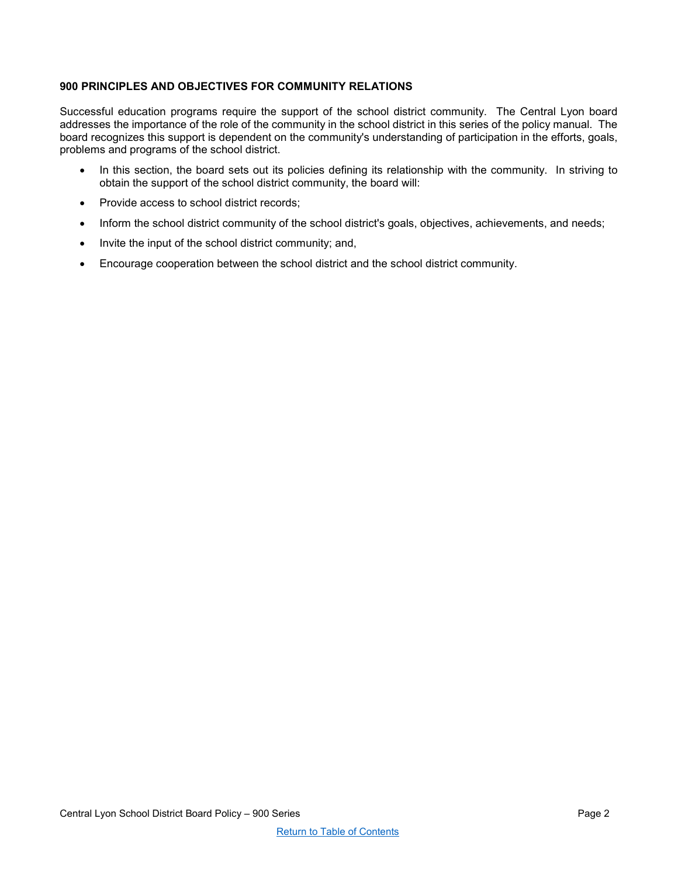# <span id="page-1-0"></span>**900 PRINCIPLES AND OBJECTIVES FOR COMMUNITY RELATIONS**

Successful education programs require the support of the school district community. The Central Lyon board addresses the importance of the role of the community in the school district in this series of the policy manual. The board recognizes this support is dependent on the community's understanding of participation in the efforts, goals, problems and programs of the school district.

- In this section, the board sets out its policies defining its relationship with the community. In striving to obtain the support of the school district community, the board will:
- Provide access to school district records;
- Inform the school district community of the school district's goals, objectives, achievements, and needs;
- Invite the input of the school district community; and,
- Encourage cooperation between the school district and the school district community.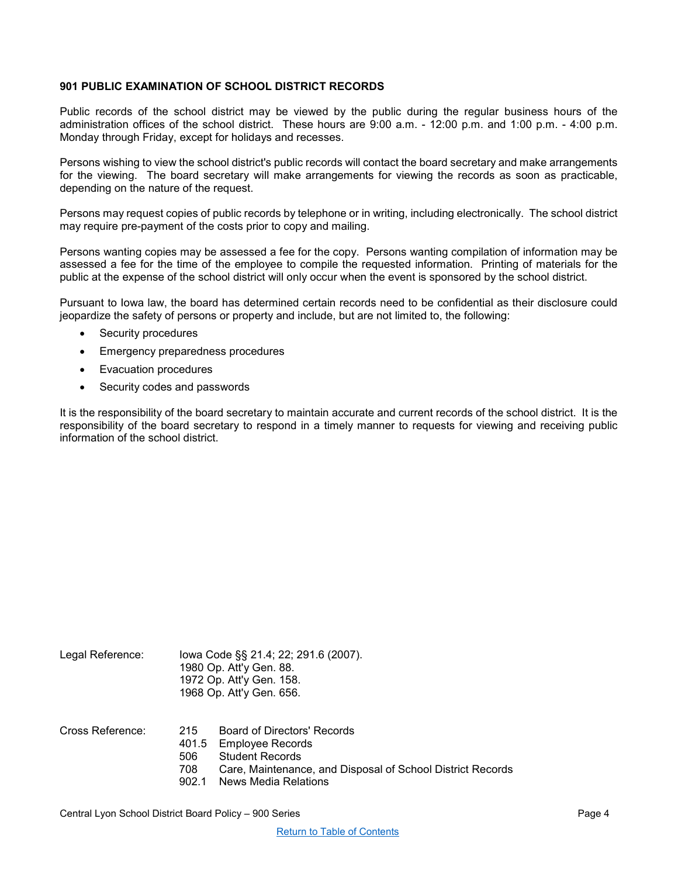## <span id="page-3-0"></span>**901 PUBLIC EXAMINATION OF SCHOOL DISTRICT RECORDS**

Public records of the school district may be viewed by the public during the regular business hours of the administration offices of the school district. These hours are 9:00 a.m. - 12:00 p.m. and 1:00 p.m. - 4:00 p.m. Monday through Friday, except for holidays and recesses.

Persons wishing to view the school district's public records will contact the board secretary and make arrangements for the viewing. The board secretary will make arrangements for viewing the records as soon as practicable, depending on the nature of the request.

Persons may request copies of public records by telephone or in writing, including electronically. The school district may require pre-payment of the costs prior to copy and mailing.

Persons wanting copies may be assessed a fee for the copy. Persons wanting compilation of information may be assessed a fee for the time of the employee to compile the requested information. Printing of materials for the public at the expense of the school district will only occur when the event is sponsored by the school district.

Pursuant to Iowa law, the board has determined certain records need to be confidential as their disclosure could jeopardize the safety of persons or property and include, but are not limited to, the following:

- Security procedures
- Emergency preparedness procedures
- Evacuation procedures
- Security codes and passwords

It is the responsibility of the board secretary to maintain accurate and current records of the school district. It is the responsibility of the board secretary to respond in a timely manner to requests for viewing and receiving public information of the school district.

| Legal Reference: |                            | lowa Code §§ 21.4; 22; 291.6 (2007).<br>1980 Op. Att'y Gen. 88.<br>1972 Op. Att'y Gen. 158.<br>1968 Op. Att'y Gen. 656.                                                      |  |
|------------------|----------------------------|------------------------------------------------------------------------------------------------------------------------------------------------------------------------------|--|
| Cross Reference: | 215<br>506<br>708<br>902.1 | Board of Directors' Records<br>401.5 Employee Records<br><b>Student Records</b><br>Care, Maintenance, and Disposal of School District Records<br><b>News Media Relations</b> |  |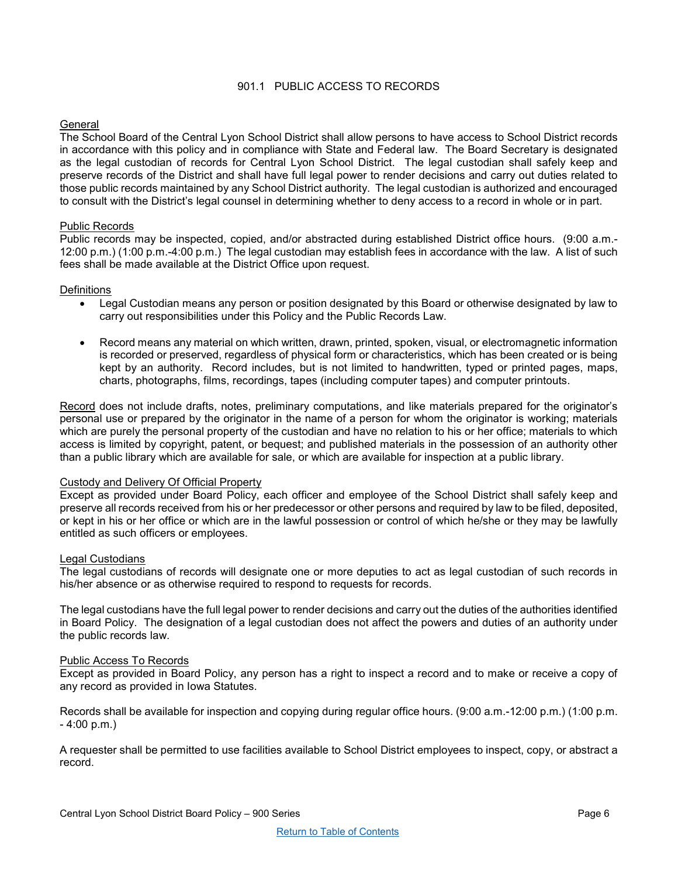## 901.1 PUBLIC ACCESS TO RECORDS

## <span id="page-5-0"></span>**General**

The School Board of the Central Lyon School District shall allow persons to have access to School District records in accordance with this policy and in compliance with State and Federal law. The Board Secretary is designated as the legal custodian of records for Central Lyon School District. The legal custodian shall safely keep and preserve records of the District and shall have full legal power to render decisions and carry out duties related to those public records maintained by any School District authority. The legal custodian is authorized and encouraged to consult with the District's legal counsel in determining whether to deny access to a record in whole or in part.

## Public Records

Public records may be inspected, copied, and/or abstracted during established District office hours. (9:00 a.m.- 12:00 p.m.) (1:00 p.m.-4:00 p.m.) The legal custodian may establish fees in accordance with the law. A list of such fees shall be made available at the District Office upon request.

#### **Definitions**

- Legal Custodian means any person or position designated by this Board or otherwise designated by law to carry out responsibilities under this Policy and the Public Records Law.
- Record means any material on which written, drawn, printed, spoken, visual, or electromagnetic information is recorded or preserved, regardless of physical form or characteristics, which has been created or is being kept by an authority. Record includes, but is not limited to handwritten, typed or printed pages, maps, charts, photographs, films, recordings, tapes (including computer tapes) and computer printouts.

Record does not include drafts, notes, preliminary computations, and like materials prepared for the originator's personal use or prepared by the originator in the name of a person for whom the originator is working; materials which are purely the personal property of the custodian and have no relation to his or her office; materials to which access is limited by copyright, patent, or bequest; and published materials in the possession of an authority other than a public library which are available for sale, or which are available for inspection at a public library.

#### Custody and Delivery Of Official Property

Except as provided under Board Policy, each officer and employee of the School District shall safely keep and preserve all records received from his or her predecessor or other persons and required by law to be filed, deposited, or kept in his or her office or which are in the lawful possession or control of which he/she or they may be lawfully entitled as such officers or employees.

#### Legal Custodians

The legal custodians of records will designate one or more deputies to act as legal custodian of such records in his/her absence or as otherwise required to respond to requests for records.

The legal custodians have the full legal power to render decisions and carry out the duties of the authorities identified in Board Policy. The designation of a legal custodian does not affect the powers and duties of an authority under the public records law.

#### Public Access To Records

Except as provided in Board Policy, any person has a right to inspect a record and to make or receive a copy of any record as provided in Iowa Statutes.

Records shall be available for inspection and copying during regular office hours. (9:00 a.m.-12:00 p.m.) (1:00 p.m. - 4:00 p.m.)

A requester shall be permitted to use facilities available to School District employees to inspect, copy, or abstract a record.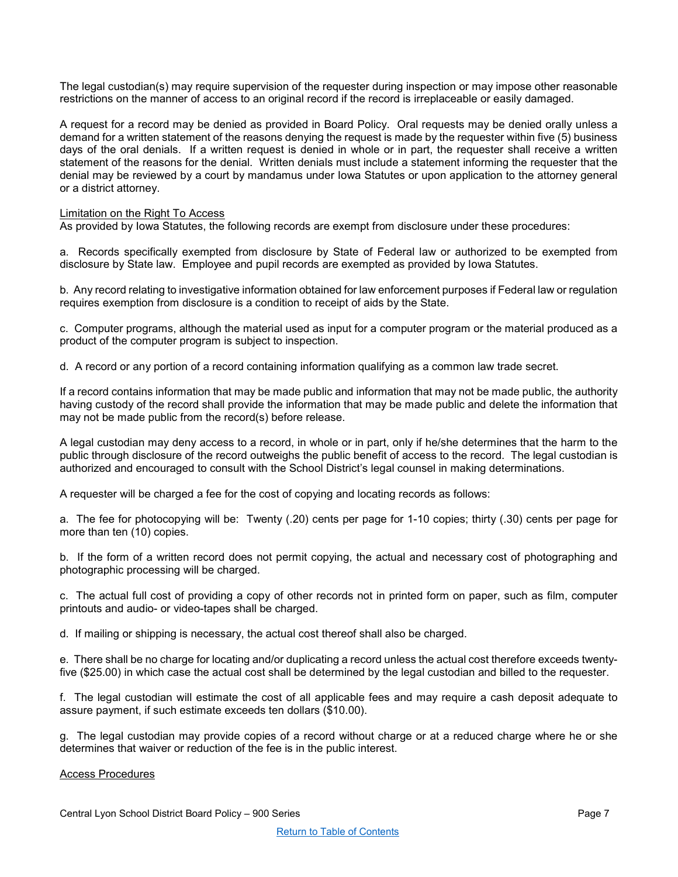The legal custodian(s) may require supervision of the requester during inspection or may impose other reasonable restrictions on the manner of access to an original record if the record is irreplaceable or easily damaged.

A request for a record may be denied as provided in Board Policy. Oral requests may be denied orally unless a demand for a written statement of the reasons denying the request is made by the requester within five (5) business days of the oral denials. If a written request is denied in whole or in part, the requester shall receive a written statement of the reasons for the denial. Written denials must include a statement informing the requester that the denial may be reviewed by a court by mandamus under Iowa Statutes or upon application to the attorney general or a district attorney.

#### Limitation on the Right To Access

As provided by Iowa Statutes, the following records are exempt from disclosure under these procedures:

a. Records specifically exempted from disclosure by State of Federal law or authorized to be exempted from disclosure by State law. Employee and pupil records are exempted as provided by Iowa Statutes.

b. Any record relating to investigative information obtained for law enforcement purposes if Federal law or regulation requires exemption from disclosure is a condition to receipt of aids by the State.

c. Computer programs, although the material used as input for a computer program or the material produced as a product of the computer program is subject to inspection.

d. A record or any portion of a record containing information qualifying as a common law trade secret.

If a record contains information that may be made public and information that may not be made public, the authority having custody of the record shall provide the information that may be made public and delete the information that may not be made public from the record(s) before release.

A legal custodian may deny access to a record, in whole or in part, only if he/she determines that the harm to the public through disclosure of the record outweighs the public benefit of access to the record. The legal custodian is authorized and encouraged to consult with the School District's legal counsel in making determinations.

A requester will be charged a fee for the cost of copying and locating records as follows:

a. The fee for photocopying will be: Twenty (.20) cents per page for 1-10 copies; thirty (.30) cents per page for more than ten (10) copies.

b. If the form of a written record does not permit copying, the actual and necessary cost of photographing and photographic processing will be charged.

c. The actual full cost of providing a copy of other records not in printed form on paper, such as film, computer printouts and audio- or video-tapes shall be charged.

d. If mailing or shipping is necessary, the actual cost thereof shall also be charged.

e. There shall be no charge for locating and/or duplicating a record unless the actual cost therefore exceeds twentyfive (\$25.00) in which case the actual cost shall be determined by the legal custodian and billed to the requester.

f. The legal custodian will estimate the cost of all applicable fees and may require a cash deposit adequate to assure payment, if such estimate exceeds ten dollars (\$10.00).

g. The legal custodian may provide copies of a record without charge or at a reduced charge where he or she determines that waiver or reduction of the fee is in the public interest.

## Access Procedures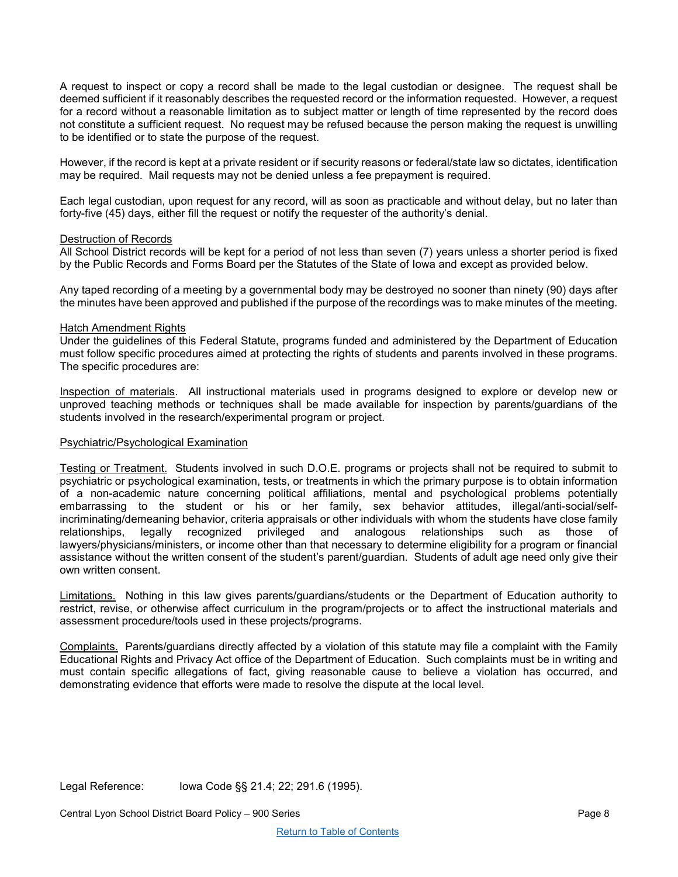A request to inspect or copy a record shall be made to the legal custodian or designee. The request shall be deemed sufficient if it reasonably describes the requested record or the information requested. However, a request for a record without a reasonable limitation as to subject matter or length of time represented by the record does not constitute a sufficient request. No request may be refused because the person making the request is unwilling to be identified or to state the purpose of the request.

However, if the record is kept at a private resident or if security reasons or federal/state law so dictates, identification may be required. Mail requests may not be denied unless a fee prepayment is required.

Each legal custodian, upon request for any record, will as soon as practicable and without delay, but no later than forty-five (45) days, either fill the request or notify the requester of the authority's denial.

#### Destruction of Records

All School District records will be kept for a period of not less than seven (7) years unless a shorter period is fixed by the Public Records and Forms Board per the Statutes of the State of Iowa and except as provided below.

Any taped recording of a meeting by a governmental body may be destroyed no sooner than ninety (90) days after the minutes have been approved and published if the purpose of the recordings was to make minutes of the meeting.

#### Hatch Amendment Rights

Under the guidelines of this Federal Statute, programs funded and administered by the Department of Education must follow specific procedures aimed at protecting the rights of students and parents involved in these programs. The specific procedures are:

Inspection of materials. All instructional materials used in programs designed to explore or develop new or unproved teaching methods or techniques shall be made available for inspection by parents/guardians of the students involved in the research/experimental program or project.

#### Psychiatric/Psychological Examination

Testing or Treatment. Students involved in such D.O.E. programs or projects shall not be required to submit to psychiatric or psychological examination, tests, or treatments in which the primary purpose is to obtain information of a non-academic nature concerning political affiliations, mental and psychological problems potentially embarrassing to the student or his or her family, sex behavior attitudes, illegal/anti-social/selfincriminating/demeaning behavior, criteria appraisals or other individuals with whom the students have close family relationships, legally recognized privileged and analogous relationships such as those of lawyers/physicians/ministers, or income other than that necessary to determine eligibility for a program or financial assistance without the written consent of the student's parent/guardian. Students of adult age need only give their own written consent.

Limitations. Nothing in this law gives parents/guardians/students or the Department of Education authority to restrict, revise, or otherwise affect curriculum in the program/projects or to affect the instructional materials and assessment procedure/tools used in these projects/programs.

Complaints. Parents/guardians directly affected by a violation of this statute may file a complaint with the Family Educational Rights and Privacy Act office of the Department of Education. Such complaints must be in writing and must contain specific allegations of fact, giving reasonable cause to believe a violation has occurred, and demonstrating evidence that efforts were made to resolve the dispute at the local level.

Legal Reference: Iowa Code §§ 21.4; 22; 291.6 (1995).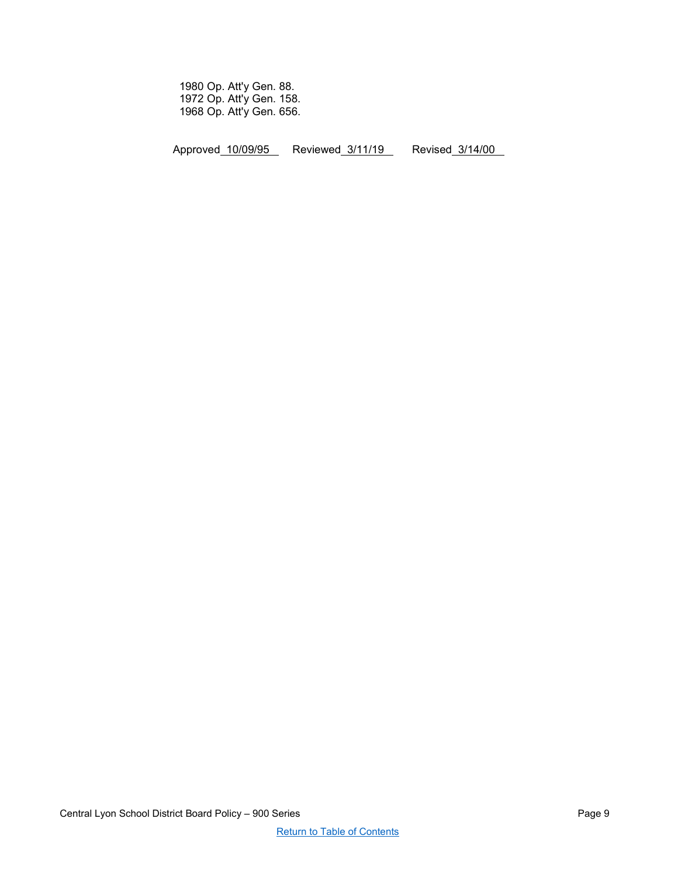1980 Op. Att'y Gen. 88. 1972 Op. Att'y Gen. 158. 1968 Op. Att'y Gen. 656.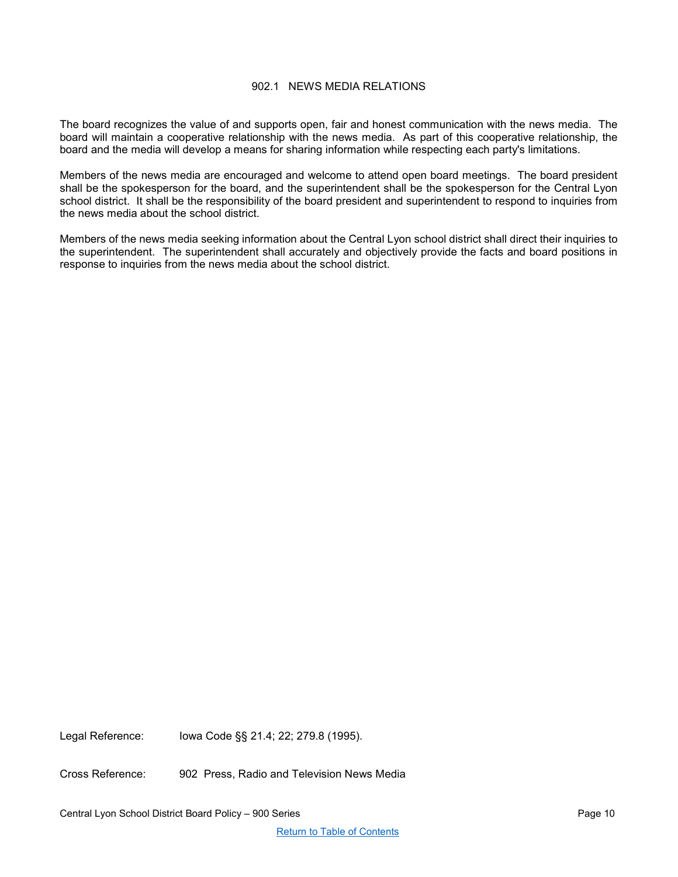## 902.1 NEWS MEDIA RELATIONS

<span id="page-9-0"></span>The board recognizes the value of and supports open, fair and honest communication with the news media. The board will maintain a cooperative relationship with the news media. As part of this cooperative relationship, the board and the media will develop a means for sharing information while respecting each party's limitations.

Members of the news media are encouraged and welcome to attend open board meetings. The board president shall be the spokesperson for the board, and the superintendent shall be the spokesperson for the Central Lyon school district. It shall be the responsibility of the board president and superintendent to respond to inquiries from the news media about the school district.

Members of the news media seeking information about the Central Lyon school district shall direct their inquiries to the superintendent. The superintendent shall accurately and objectively provide the facts and board positions in response to inquiries from the news media about the school district.

Legal Reference: Iowa Code §§ 21.4; 22; 279.8 (1995).

Cross Reference: 902 Press, Radio and Television News Media

Central Lyon School District Board Policy – 900 Series Page 10 November 2012 12:38 Page 10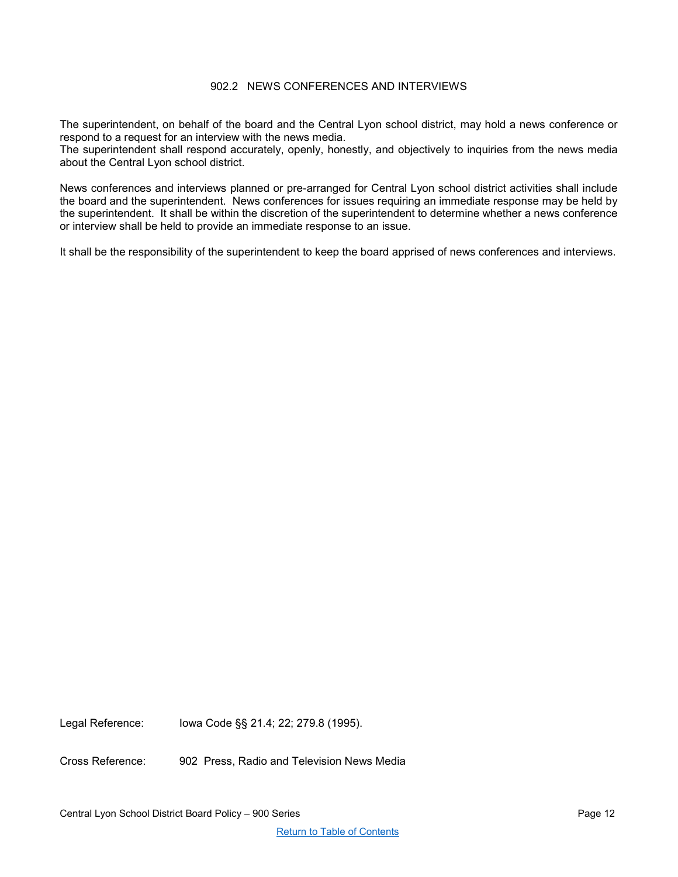## 902.2 NEWS CONFERENCES AND INTERVIEWS

<span id="page-11-0"></span>The superintendent, on behalf of the board and the Central Lyon school district, may hold a news conference or respond to a request for an interview with the news media.

The superintendent shall respond accurately, openly, honestly, and objectively to inquiries from the news media about the Central Lyon school district.

News conferences and interviews planned or pre-arranged for Central Lyon school district activities shall include the board and the superintendent. News conferences for issues requiring an immediate response may be held by the superintendent. It shall be within the discretion of the superintendent to determine whether a news conference or interview shall be held to provide an immediate response to an issue.

It shall be the responsibility of the superintendent to keep the board apprised of news conferences and interviews.

Legal Reference: Iowa Code §§ 21.4; 22; 279.8 (1995).

Cross Reference: 902 Press, Radio and Television News Media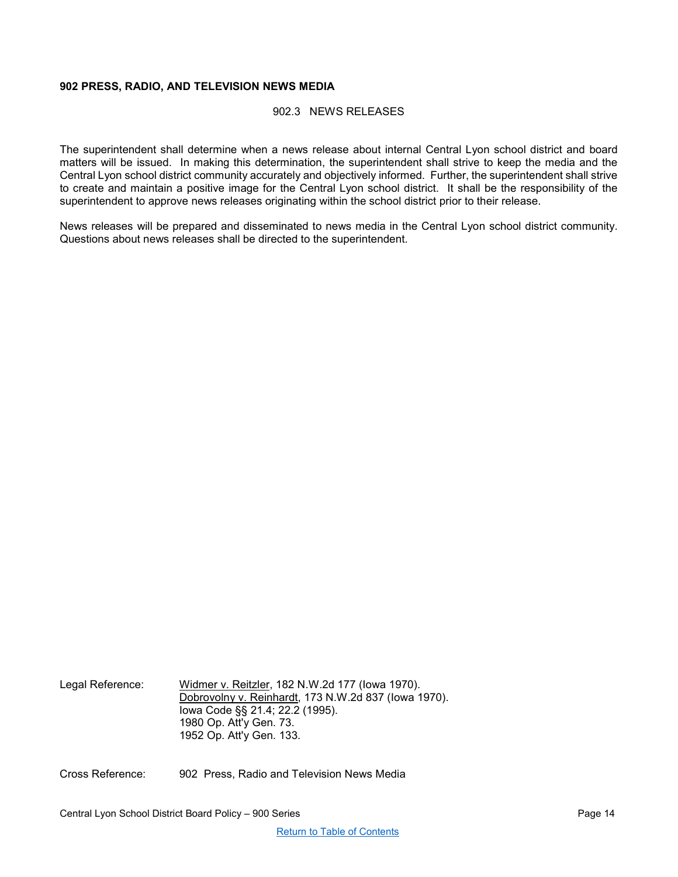## <span id="page-13-1"></span><span id="page-13-0"></span>**902 PRESS, RADIO, AND TELEVISION NEWS MEDIA**

#### 902.3 NEWS RELEASES

The superintendent shall determine when a news release about internal Central Lyon school district and board matters will be issued. In making this determination, the superintendent shall strive to keep the media and the Central Lyon school district community accurately and objectively informed. Further, the superintendent shall strive to create and maintain a positive image for the Central Lyon school district. It shall be the responsibility of the superintendent to approve news releases originating within the school district prior to their release.

News releases will be prepared and disseminated to news media in the Central Lyon school district community. Questions about news releases shall be directed to the superintendent.

Legal Reference: Widmer v. Reitzler, 182 N.W.2d 177 (Iowa 1970). Dobrovolny v. Reinhardt, 173 N.W.2d 837 (Iowa 1970). Iowa Code §§ 21.4; 22.2 (1995). 1980 Op. Att'y Gen. 73. 1952 Op. Att'y Gen. 133.

Cross Reference: 902 Press, Radio and Television News Media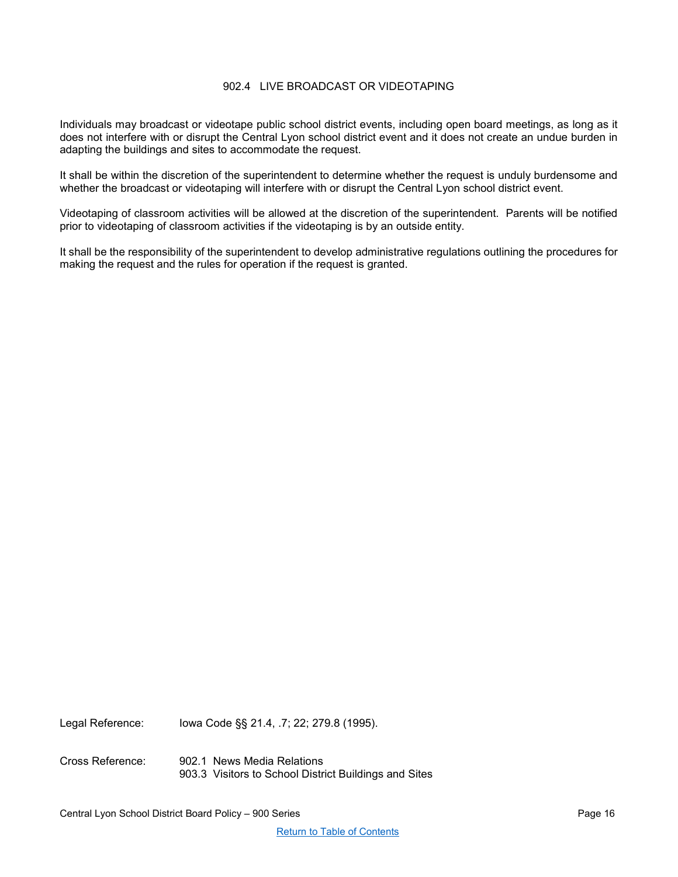## 902.4 LIVE BROADCAST OR VIDEOTAPING

<span id="page-15-0"></span>Individuals may broadcast or videotape public school district events, including open board meetings, as long as it does not interfere with or disrupt the Central Lyon school district event and it does not create an undue burden in adapting the buildings and sites to accommodate the request.

It shall be within the discretion of the superintendent to determine whether the request is unduly burdensome and whether the broadcast or videotaping will interfere with or disrupt the Central Lyon school district event.

Videotaping of classroom activities will be allowed at the discretion of the superintendent. Parents will be notified prior to videotaping of classroom activities if the videotaping is by an outside entity.

It shall be the responsibility of the superintendent to develop administrative regulations outlining the procedures for making the request and the rules for operation if the request is granted.

Legal Reference: Iowa Code §§ 21.4, .7; 22; 279.8 (1995).

Cross Reference: 902.1 News Media Relations 903.3 Visitors to School District Buildings and Sites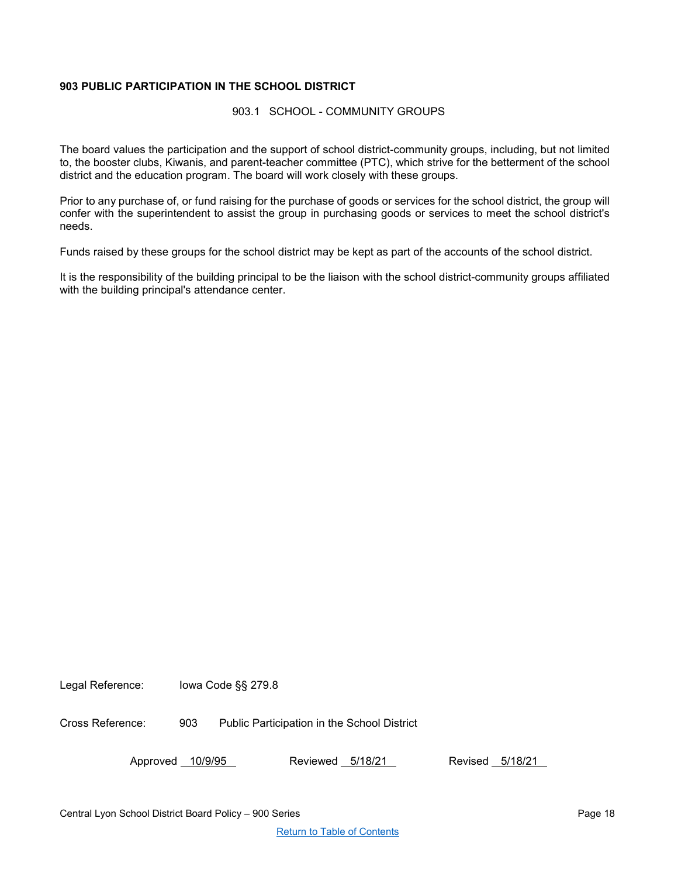# <span id="page-17-1"></span><span id="page-17-0"></span>**903 PUBLIC PARTICIPATION IN THE SCHOOL DISTRICT**

903.1 SCHOOL - COMMUNITY GROUPS

The board values the participation and the support of school district-community groups, including, but not limited to, the booster clubs, Kiwanis, and parent-teacher committee (PTC), which strive for the betterment of the school district and the education program. The board will work closely with these groups.

Prior to any purchase of, or fund raising for the purchase of goods or services for the school district, the group will confer with the superintendent to assist the group in purchasing goods or services to meet the school district's needs.

Funds raised by these groups for the school district may be kept as part of the accounts of the school district.

It is the responsibility of the building principal to be the liaison with the school district-community groups affiliated with the building principal's attendance center.

Legal Reference: Iowa Code §§ 279.8

Cross Reference: 903 Public Participation in the School District

Approved 10/9/95 Reviewed 5/18/21 Revised 5/18/21

Central Lyon School District Board Policy – 900 Series Page 18 November 2008 18

[Return to Table of Contents](#page-0-0)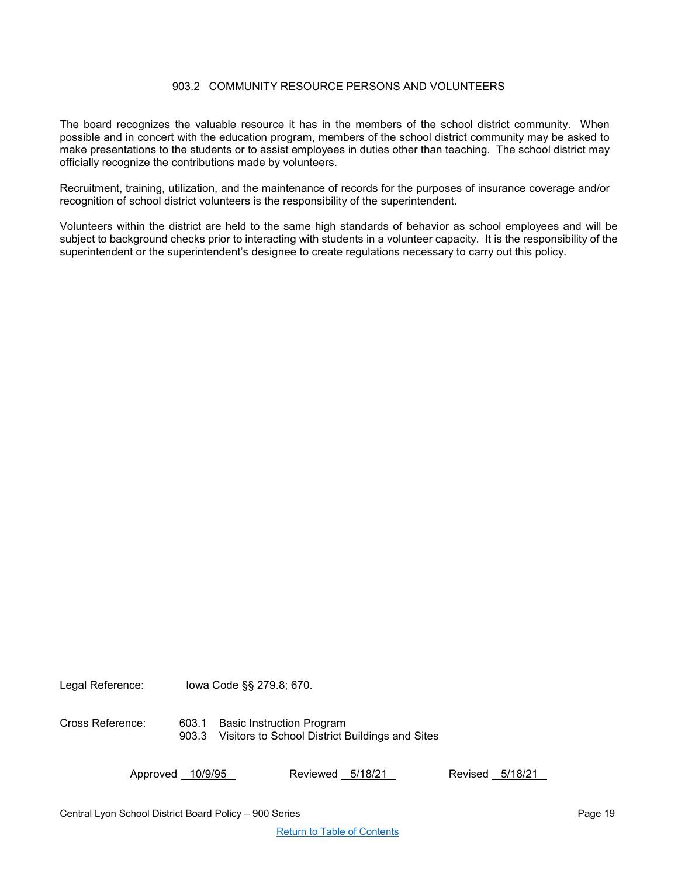## 903.2 COMMUNITY RESOURCE PERSONS AND VOLUNTEERS

<span id="page-18-0"></span>The board recognizes the valuable resource it has in the members of the school district community. When possible and in concert with the education program, members of the school district community may be asked to make presentations to the students or to assist employees in duties other than teaching. The school district may officially recognize the contributions made by volunteers.

Recruitment, training, utilization, and the maintenance of records for the purposes of insurance coverage and/or recognition of school district volunteers is the responsibility of the superintendent.

Volunteers within the district are held to the same high standards of behavior as school employees and will be subject to background checks prior to interacting with students in a volunteer capacity. It is the responsibility of the superintendent or the superintendent's designee to create regulations necessary to carry out this policy.

Legal Reference: Iowa Code §§ 279.8; 670.

Cross Reference: 603.1 Basic Instruction Program 903.3 Visitors to School District Buildings and Sites

Approved 10/9/95 Reviewed 5/18/21 Revised 5/18/21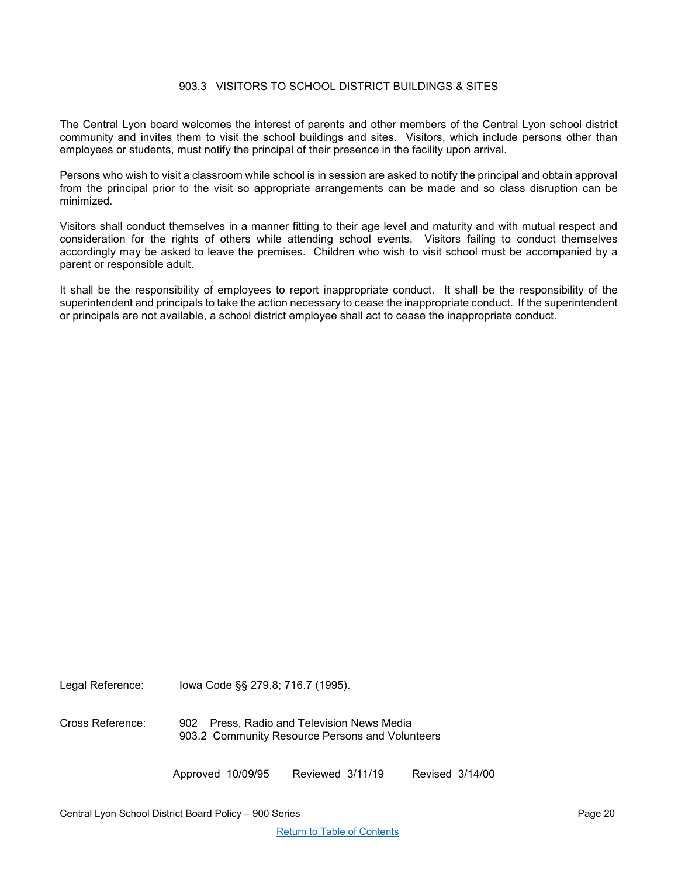## 903.3 VISITORS TO SCHOOL DISTRICT BUILDINGS & SITES

<span id="page-19-0"></span>The Central Lyon board welcomes the interest of parents and other members of the Central Lyon school district community and invites them to visit the school buildings and sites. Visitors, which include persons other than employees or students, must notify the principal of their presence in the facility upon arrival.

Persons who wish to visit a classroom while school is in session are asked to notify the principal and obtain approval from the principal prior to the visit so appropriate arrangements can be made and so class disruption can be minimized.

Visitors shall conduct themselves in a manner fitting to their age level and maturity and with mutual respect and consideration for the rights of others while attending school events. Visitors failing to conduct themselves accordingly may be asked to leave the premises. Children who wish to visit school must be accompanied by a parent or responsible adult.

It shall be the responsibility of employees to report inappropriate conduct. It shall be the responsibility of the superintendent and principals to take the action necessary to cease the inappropriate conduct. If the superintendent or principals are not available, a school district employee shall act to cease the inappropriate conduct.

Legal Reference: Iowa Code §§ 279.8; 716.7 (1995).

Cross Reference: 902 Press, Radio and Television News Media 903.2 Community Resource Persons and Volunteers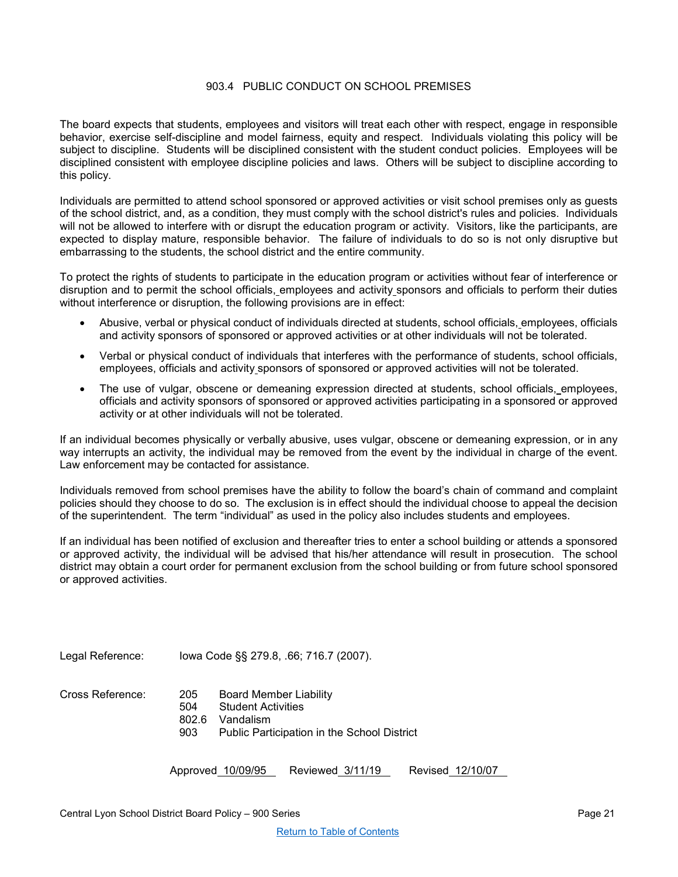## 903.4 PUBLIC CONDUCT ON SCHOOL PREMISES

<span id="page-20-0"></span>The board expects that students, employees and visitors will treat each other with respect, engage in responsible behavior, exercise self-discipline and model fairness, equity and respect. Individuals violating this policy will be subject to discipline. Students will be disciplined consistent with the student conduct policies. Employees will be disciplined consistent with employee discipline policies and laws. Others will be subject to discipline according to this policy.

Individuals are permitted to attend school sponsored or approved activities or visit school premises only as guests of the school district, and, as a condition, they must comply with the school district's rules and policies. Individuals will not be allowed to interfere with or disrupt the education program or activity. Visitors, like the participants, are expected to display mature, responsible behavior. The failure of individuals to do so is not only disruptive but embarrassing to the students, the school district and the entire community.

To protect the rights of students to participate in the education program or activities without fear of interference or disruption and to permit the school officials, employees and activity sponsors and officials to perform their duties without interference or disruption, the following provisions are in effect:

- Abusive, verbal or physical conduct of individuals directed at students, school officials, employees, officials and activity sponsors of sponsored or approved activities or at other individuals will not be tolerated.
- Verbal or physical conduct of individuals that interferes with the performance of students, school officials, employees, officials and activity sponsors of sponsored or approved activities will not be tolerated.
- The use of vulgar, obscene or demeaning expression directed at students, school officials, employees, officials and activity sponsors of sponsored or approved activities participating in a sponsored or approved activity or at other individuals will not be tolerated.

If an individual becomes physically or verbally abusive, uses vulgar, obscene or demeaning expression, or in any way interrupts an activity, the individual may be removed from the event by the individual in charge of the event. Law enforcement may be contacted for assistance.

Individuals removed from school premises have the ability to follow the board's chain of command and complaint policies should they choose to do so. The exclusion is in effect should the individual choose to appeal the decision of the superintendent. The term "individual" as used in the policy also includes students and employees.

If an individual has been notified of exclusion and thereafter tries to enter a school building or attends a sponsored or approved activity, the individual will be advised that his/her attendance will result in prosecution. The school district may obtain a court order for permanent exclusion from the school building or from future school sponsored or approved activities.

Legal Reference: Iowa Code §§ 279.8, .66; 716.7 (2007).

| Cross Reference: | 205 | Board Member Liability                             |
|------------------|-----|----------------------------------------------------|
|                  | 504 | Student Activities                                 |
|                  |     | 802.6 Vandalism                                    |
|                  | 903 | <b>Public Participation in the School District</b> |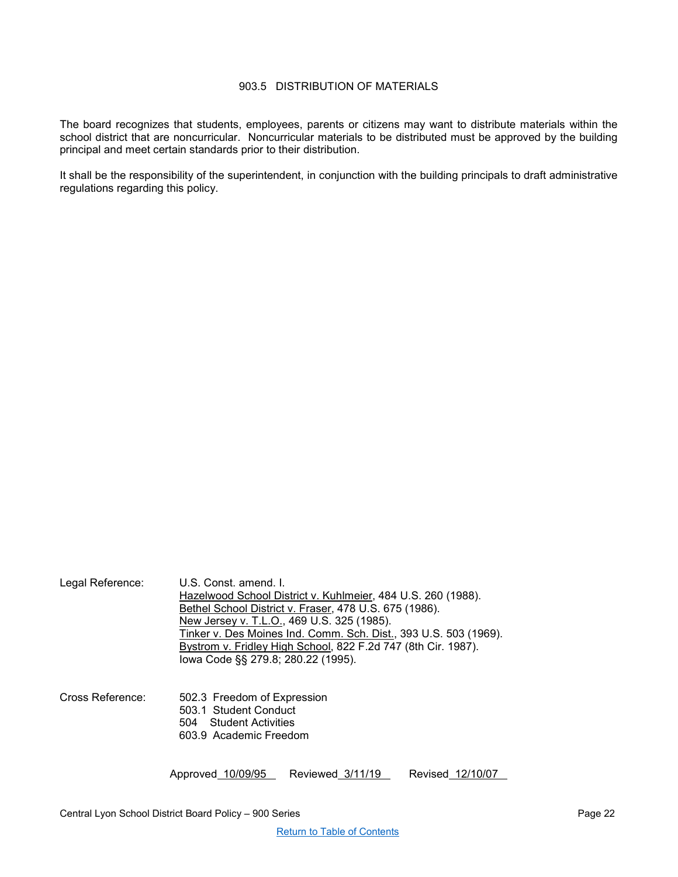## 903.5 DISTRIBUTION OF MATERIALS

<span id="page-21-0"></span>The board recognizes that students, employees, parents or citizens may want to distribute materials within the school district that are noncurricular. Noncurricular materials to be distributed must be approved by the building principal and meet certain standards prior to their distribution.

It shall be the responsibility of the superintendent, in conjunction with the building principals to draft administrative regulations regarding this policy.

| Legal Reference: | U.S. Const. amend. I.<br>Hazelwood School District v. Kuhlmeier, 484 U.S. 260 (1988).<br>Bethel School District v. Fraser, 478 U.S. 675 (1986).<br>New Jersey v. T.L.O., 469 U.S. 325 (1985).<br>Tinker v. Des Moines Ind. Comm. Sch. Dist., 393 U.S. 503 (1969).<br>Bystrom v. Fridley High School, 822 F.2d 747 (8th Cir. 1987).<br>lowa Code §§ 279.8; 280.22 (1995). |                  |                  |  |
|------------------|--------------------------------------------------------------------------------------------------------------------------------------------------------------------------------------------------------------------------------------------------------------------------------------------------------------------------------------------------------------------------|------------------|------------------|--|
| Cross Reference: | 502.3 Freedom of Expression<br>503.1 Student Conduct<br>504 Student Activities<br>603.9 Academic Freedom                                                                                                                                                                                                                                                                 |                  |                  |  |
|                  | Approved 10/09/95                                                                                                                                                                                                                                                                                                                                                        | Reviewed 3/11/19 | Revised 12/10/07 |  |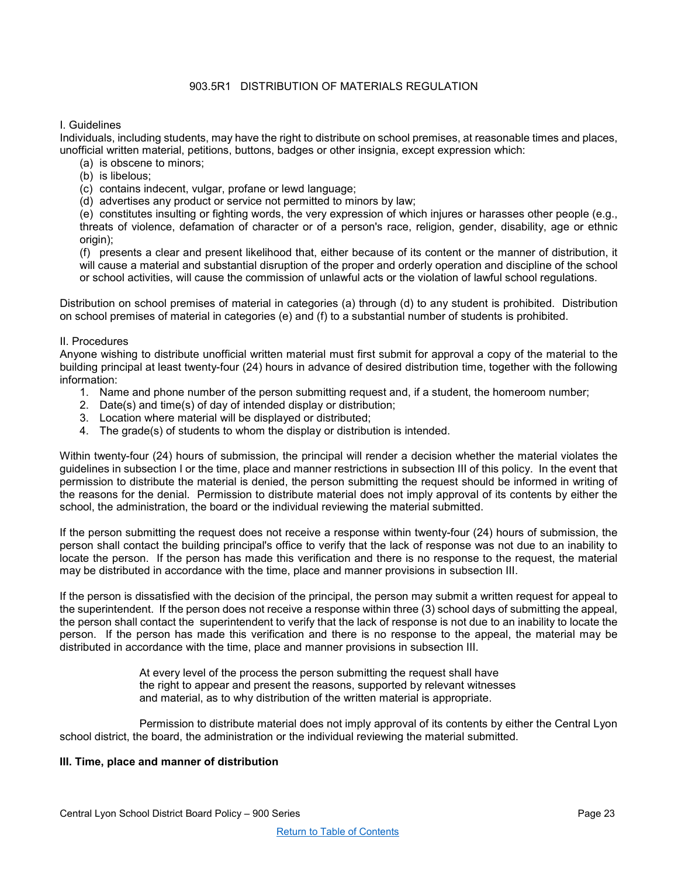## 903.5R1 DISTRIBUTION OF MATERIALS REGULATION

#### <span id="page-22-0"></span>I. Guidelines

Individuals, including students, may have the right to distribute on school premises, at reasonable times and places, unofficial written material, petitions, buttons, badges or other insignia, except expression which:

- (a) is obscene to minors;
- (b) is libelous;
- (c) contains indecent, vulgar, profane or lewd language;
- (d) advertises any product or service not permitted to minors by law;

(e) constitutes insulting or fighting words, the very expression of which injures or harasses other people (e.g., threats of violence, defamation of character or of a person's race, religion, gender, disability, age or ethnic origin):

(f) presents a clear and present likelihood that, either because of its content or the manner of distribution, it will cause a material and substantial disruption of the proper and orderly operation and discipline of the school or school activities, will cause the commission of unlawful acts or the violation of lawful school regulations.

Distribution on school premises of material in categories (a) through (d) to any student is prohibited. Distribution on school premises of material in categories (e) and (f) to a substantial number of students is prohibited.

#### II. Procedures

Anyone wishing to distribute unofficial written material must first submit for approval a copy of the material to the building principal at least twenty-four (24) hours in advance of desired distribution time, together with the following information:

- 1. Name and phone number of the person submitting request and, if a student, the homeroom number;
- 2. Date(s) and time(s) of day of intended display or distribution;
- 3. Location where material will be displayed or distributed;
- 4. The grade(s) of students to whom the display or distribution is intended.

Within twenty-four (24) hours of submission, the principal will render a decision whether the material violates the guidelines in subsection I or the time, place and manner restrictions in subsection III of this policy. In the event that permission to distribute the material is denied, the person submitting the request should be informed in writing of the reasons for the denial. Permission to distribute material does not imply approval of its contents by either the school, the administration, the board or the individual reviewing the material submitted.

If the person submitting the request does not receive a response within twenty-four (24) hours of submission, the person shall contact the building principal's office to verify that the lack of response was not due to an inability to locate the person. If the person has made this verification and there is no response to the request, the material may be distributed in accordance with the time, place and manner provisions in subsection III.

If the person is dissatisfied with the decision of the principal, the person may submit a written request for appeal to the superintendent. If the person does not receive a response within three (3) school days of submitting the appeal, the person shall contact the superintendent to verify that the lack of response is not due to an inability to locate the person. If the person has made this verification and there is no response to the appeal, the material may be distributed in accordance with the time, place and manner provisions in subsection III.

> At every level of the process the person submitting the request shall have the right to appear and present the reasons, supported by relevant witnesses and material, as to why distribution of the written material is appropriate.

Permission to distribute material does not imply approval of its contents by either the Central Lyon school district, the board, the administration or the individual reviewing the material submitted.

## **III. Time, place and manner of distribution**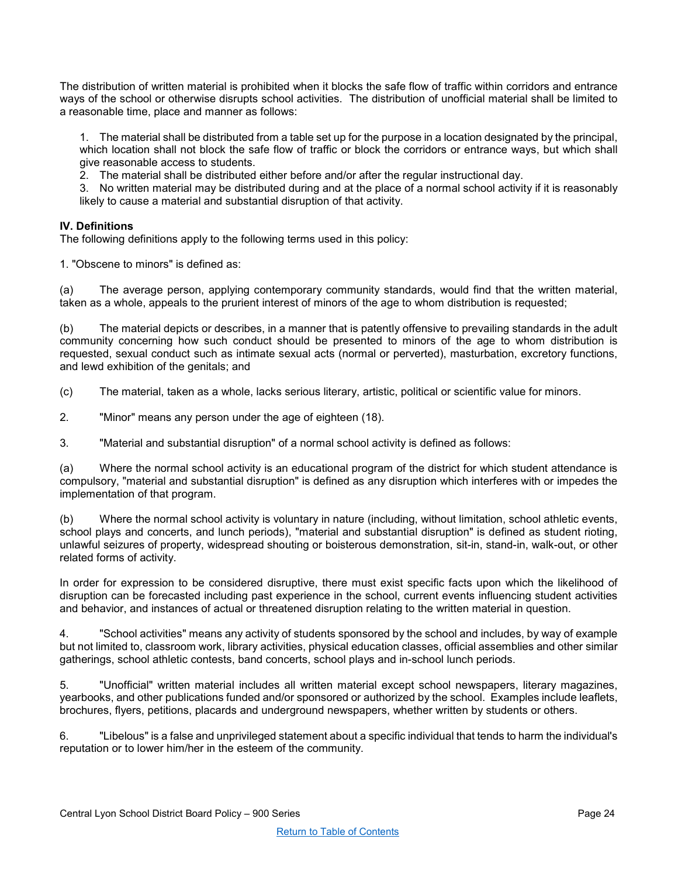The distribution of written material is prohibited when it blocks the safe flow of traffic within corridors and entrance ways of the school or otherwise disrupts school activities. The distribution of unofficial material shall be limited to a reasonable time, place and manner as follows:

1. The material shall be distributed from a table set up for the purpose in a location designated by the principal, which location shall not block the safe flow of traffic or block the corridors or entrance ways, but which shall give reasonable access to students.

2. The material shall be distributed either before and/or after the regular instructional day.

3. No written material may be distributed during and at the place of a normal school activity if it is reasonably likely to cause a material and substantial disruption of that activity.

## **IV. Definitions**

The following definitions apply to the following terms used in this policy:

1. "Obscene to minors" is defined as:

(a) The average person, applying contemporary community standards, would find that the written material, taken as a whole, appeals to the prurient interest of minors of the age to whom distribution is requested;

(b) The material depicts or describes, in a manner that is patently offensive to prevailing standards in the adult community concerning how such conduct should be presented to minors of the age to whom distribution is requested, sexual conduct such as intimate sexual acts (normal or perverted), masturbation, excretory functions, and lewd exhibition of the genitals; and

(c) The material, taken as a whole, lacks serious literary, artistic, political or scientific value for minors.

2. "Minor" means any person under the age of eighteen (18).

3. "Material and substantial disruption" of a normal school activity is defined as follows:

(a) Where the normal school activity is an educational program of the district for which student attendance is compulsory, "material and substantial disruption" is defined as any disruption which interferes with or impedes the implementation of that program.

(b) Where the normal school activity is voluntary in nature (including, without limitation, school athletic events, school plays and concerts, and lunch periods), "material and substantial disruption" is defined as student rioting, unlawful seizures of property, widespread shouting or boisterous demonstration, sit-in, stand-in, walk-out, or other related forms of activity.

In order for expression to be considered disruptive, there must exist specific facts upon which the likelihood of disruption can be forecasted including past experience in the school, current events influencing student activities and behavior, and instances of actual or threatened disruption relating to the written material in question.

4. "School activities" means any activity of students sponsored by the school and includes, by way of example but not limited to, classroom work, library activities, physical education classes, official assemblies and other similar gatherings, school athletic contests, band concerts, school plays and in-school lunch periods.

5. "Unofficial" written material includes all written material except school newspapers, literary magazines, yearbooks, and other publications funded and/or sponsored or authorized by the school. Examples include leaflets, brochures, flyers, petitions, placards and underground newspapers, whether written by students or others.

6. "Libelous" is a false and unprivileged statement about a specific individual that tends to harm the individual's reputation or to lower him/her in the esteem of the community.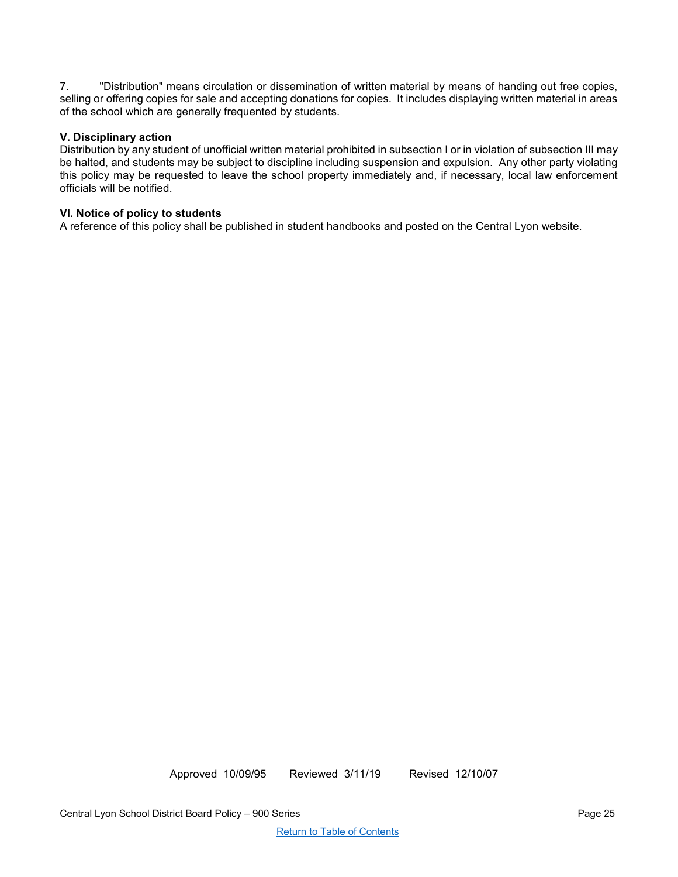7. "Distribution" means circulation or dissemination of written material by means of handing out free copies, selling or offering copies for sale and accepting donations for copies. It includes displaying written material in areas of the school which are generally frequented by students.

## **V. Disciplinary action**

Distribution by any student of unofficial written material prohibited in subsection I or in violation of subsection III may be halted, and students may be subject to discipline including suspension and expulsion. Any other party violating this policy may be requested to leave the school property immediately and, if necessary, local law enforcement officials will be notified.

## **VI. Notice of policy to students**

A reference of this policy shall be published in student handbooks and posted on the Central Lyon website.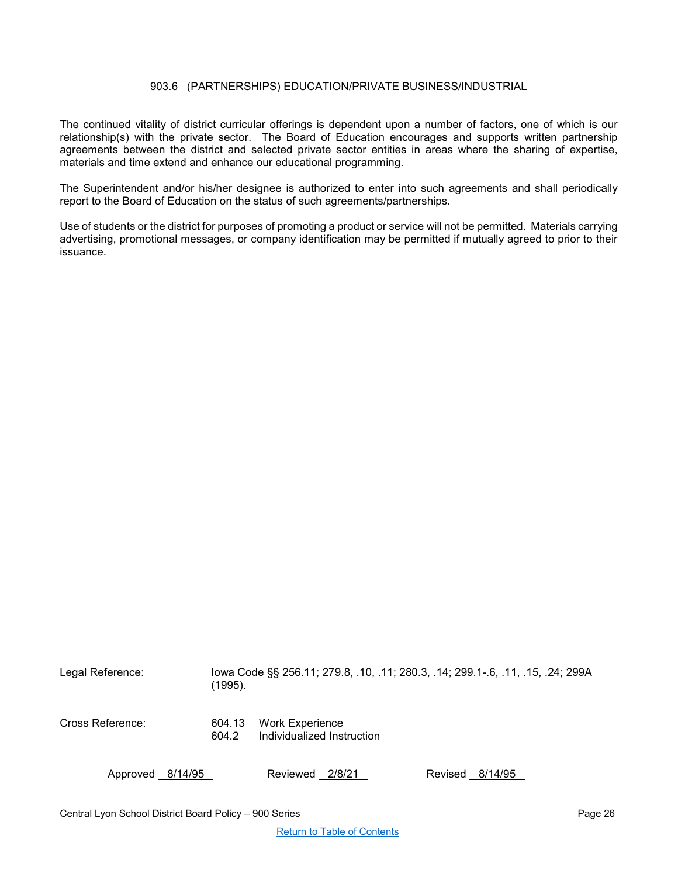## 903.6 (PARTNERSHIPS) EDUCATION/PRIVATE BUSINESS/INDUSTRIAL

<span id="page-25-0"></span>The continued vitality of district curricular offerings is dependent upon a number of factors, one of which is our relationship(s) with the private sector. The Board of Education encourages and supports written partnership agreements between the district and selected private sector entities in areas where the sharing of expertise, materials and time extend and enhance our educational programming.

The Superintendent and/or his/her designee is authorized to enter into such agreements and shall periodically report to the Board of Education on the status of such agreements/partnerships.

Use of students or the district for purposes of promoting a product or service will not be permitted. Materials carrying advertising, promotional messages, or company identification may be permitted if mutually agreed to prior to their issuance.

| Legal Reference: | (1995).         |                                                      | lowa Code §§ 256.11; 279.8, .10, .11; 280.3, .14; 299.1-.6, .11, .15, .24; 299A |
|------------------|-----------------|------------------------------------------------------|---------------------------------------------------------------------------------|
| Cross Reference: | 604.13<br>604.2 | <b>Work Experience</b><br>Individualized Instruction |                                                                                 |
| Approved 8/14/95 |                 | Reviewed 2/8/21                                      | Revised 8/14/95                                                                 |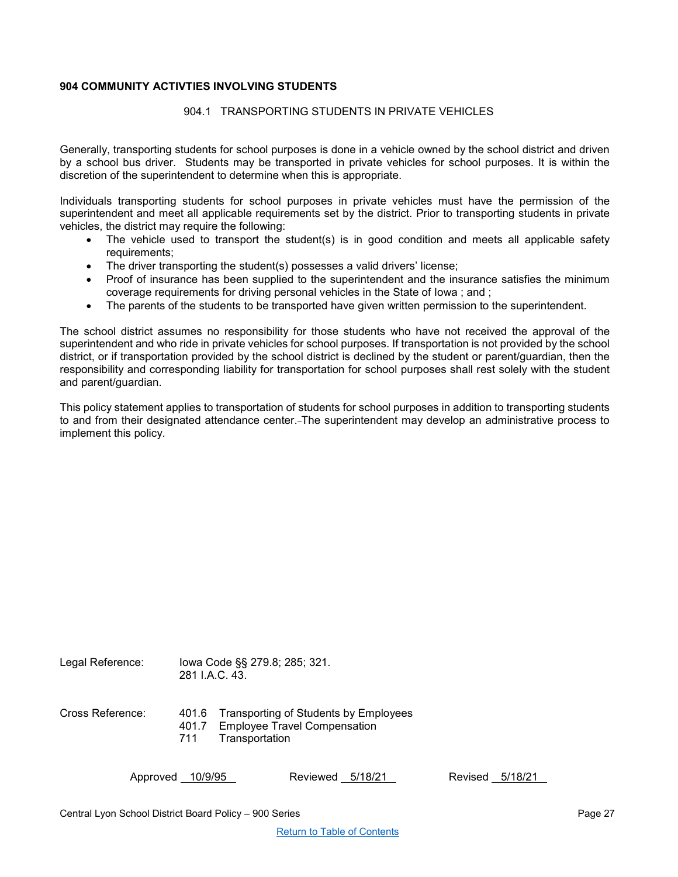## <span id="page-26-1"></span><span id="page-26-0"></span>**904 COMMUNITY ACTIVTIES INVOLVING STUDENTS**

#### 904.1 TRANSPORTING STUDENTS IN PRIVATE VEHICLES

Generally, transporting students for school purposes is done in a vehicle owned by the school district and driven by a school bus driver. Students may be transported in private vehicles for school purposes. It is within the discretion of the superintendent to determine when this is appropriate.

Individuals transporting students for school purposes in private vehicles must have the permission of the superintendent and meet all applicable requirements set by the district. Prior to transporting students in private vehicles, the district may require the following:

- The vehicle used to transport the student(s) is in good condition and meets all applicable safety requirements;
- The driver transporting the student(s) possesses a valid drivers' license;
- Proof of insurance has been supplied to the superintendent and the insurance satisfies the minimum coverage requirements for driving personal vehicles in the State of Iowa ; and ;
- The parents of the students to be transported have given written permission to the superintendent.

The school district assumes no responsibility for those students who have not received the approval of the superintendent and who ride in private vehicles for school purposes. If transportation is not provided by the school district, or if transportation provided by the school district is declined by the student or parent/guardian, then the responsibility and corresponding liability for transportation for school purposes shall rest solely with the student and parent/guardian.

This policy statement applies to transportation of students for school purposes in addition to transporting students to and from their designated attendance center. The superintendent may develop an administrative process to implement this policy.

| Legal Reference: | lowa Code §§ 279.8; 285; 321.<br>281 I.A.C. 43.                                                            |
|------------------|------------------------------------------------------------------------------------------------------------|
| Cross Reference: | 401.6 Transporting of Students by Employees<br>401.7 Employee Travel Compensation<br>Transportation<br>711 |

Approved 10/9/95 Reviewed 5/18/21 Revised 5/18/21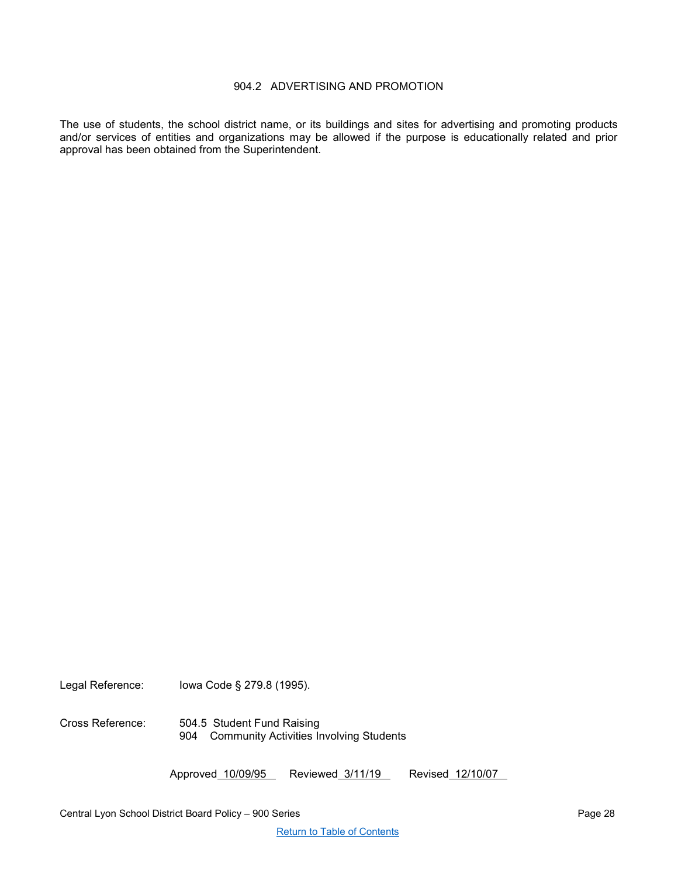## 904.2 ADVERTISING AND PROMOTION

<span id="page-27-0"></span>The use of students, the school district name, or its buildings and sites for advertising and promoting products and/or services of entities and organizations may be allowed if the purpose is educationally related and prior approval has been obtained from the Superintendent.

Legal Reference: Iowa Code § 279.8 (1995).

Cross Reference: 504.5 Student Fund Raising 904 Community Activities Involving Students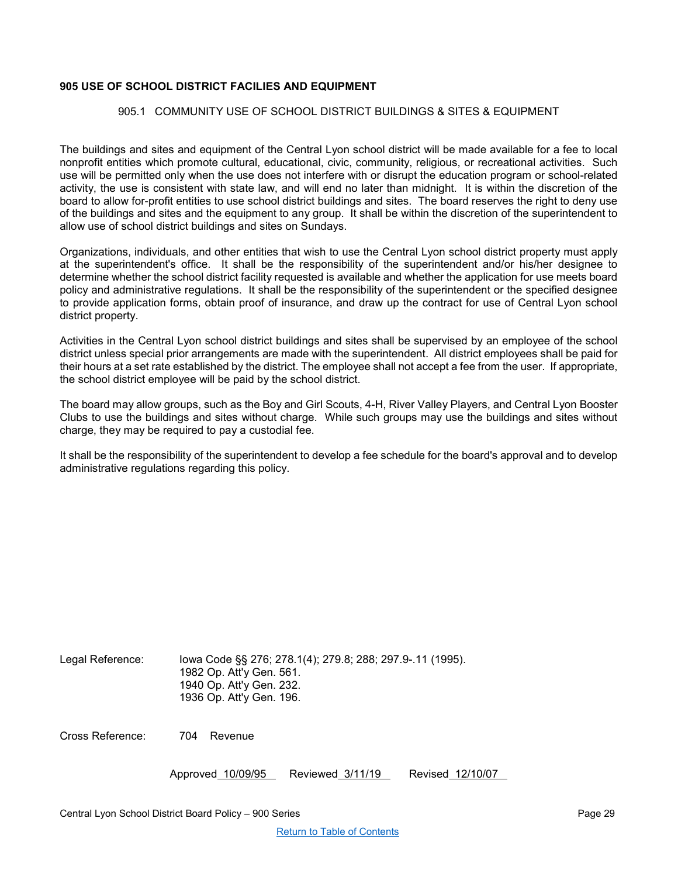## <span id="page-28-1"></span><span id="page-28-0"></span>**905 USE OF SCHOOL DISTRICT FACILIES AND EQUIPMENT**

## 905.1 COMMUNITY USE OF SCHOOL DISTRICT BUILDINGS & SITES & EQUIPMENT

The buildings and sites and equipment of the Central Lyon school district will be made available for a fee to local nonprofit entities which promote cultural, educational, civic, community, religious, or recreational activities. Such use will be permitted only when the use does not interfere with or disrupt the education program or school-related activity, the use is consistent with state law, and will end no later than midnight. It is within the discretion of the board to allow for-profit entities to use school district buildings and sites. The board reserves the right to deny use of the buildings and sites and the equipment to any group. It shall be within the discretion of the superintendent to allow use of school district buildings and sites on Sundays.

Organizations, individuals, and other entities that wish to use the Central Lyon school district property must apply at the superintendent's office. It shall be the responsibility of the superintendent and/or his/her designee to determine whether the school district facility requested is available and whether the application for use meets board policy and administrative regulations. It shall be the responsibility of the superintendent or the specified designee to provide application forms, obtain proof of insurance, and draw up the contract for use of Central Lyon school district property.

Activities in the Central Lyon school district buildings and sites shall be supervised by an employee of the school district unless special prior arrangements are made with the superintendent. All district employees shall be paid for their hours at a set rate established by the district. The employee shall not accept a fee from the user. If appropriate, the school district employee will be paid by the school district.

The board may allow groups, such as the Boy and Girl Scouts, 4-H, River Valley Players, and Central Lyon Booster Clubs to use the buildings and sites without charge. While such groups may use the buildings and sites without charge, they may be required to pay a custodial fee.

It shall be the responsibility of the superintendent to develop a fee schedule for the board's approval and to develop administrative regulations regarding this policy.

| Legal Reference: | lowa Code §§ 276; 278.1(4); 279.8; 288; 297.9-.11 (1995). |
|------------------|-----------------------------------------------------------|
|                  | 1982 Op. Att'y Gen. 561.                                  |
|                  | 1940 Op. Att'y Gen. 232.                                  |
|                  | 1936 Op. Att'y Gen. 196.                                  |

Cross Reference: 704 Revenue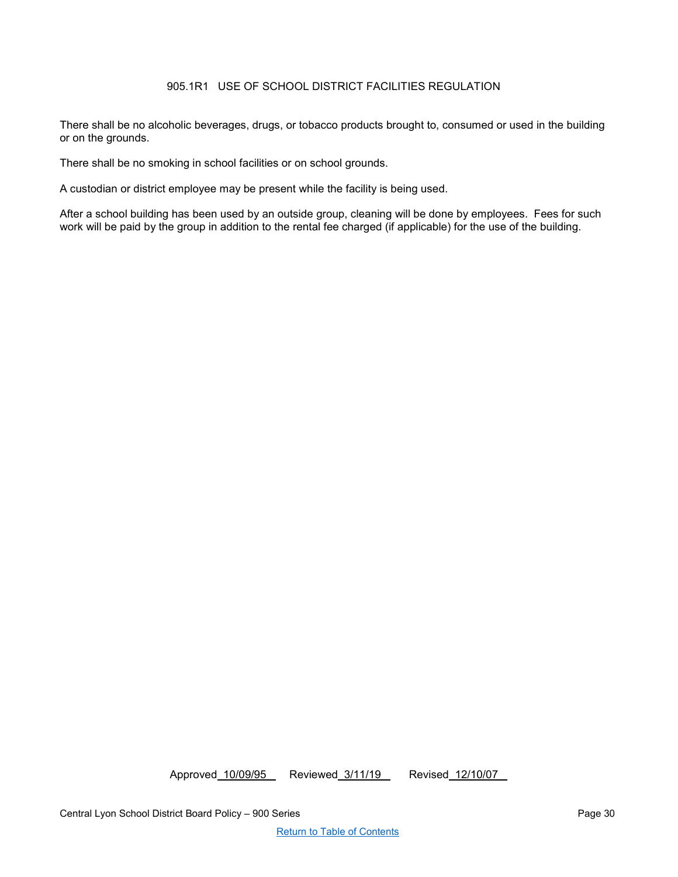# 905.1R1 USE OF SCHOOL DISTRICT FACILITIES REGULATION

<span id="page-29-0"></span>There shall be no alcoholic beverages, drugs, or tobacco products brought to, consumed or used in the building or on the grounds.

There shall be no smoking in school facilities or on school grounds.

A custodian or district employee may be present while the facility is being used.

After a school building has been used by an outside group, cleaning will be done by employees. Fees for such work will be paid by the group in addition to the rental fee charged (if applicable) for the use of the building.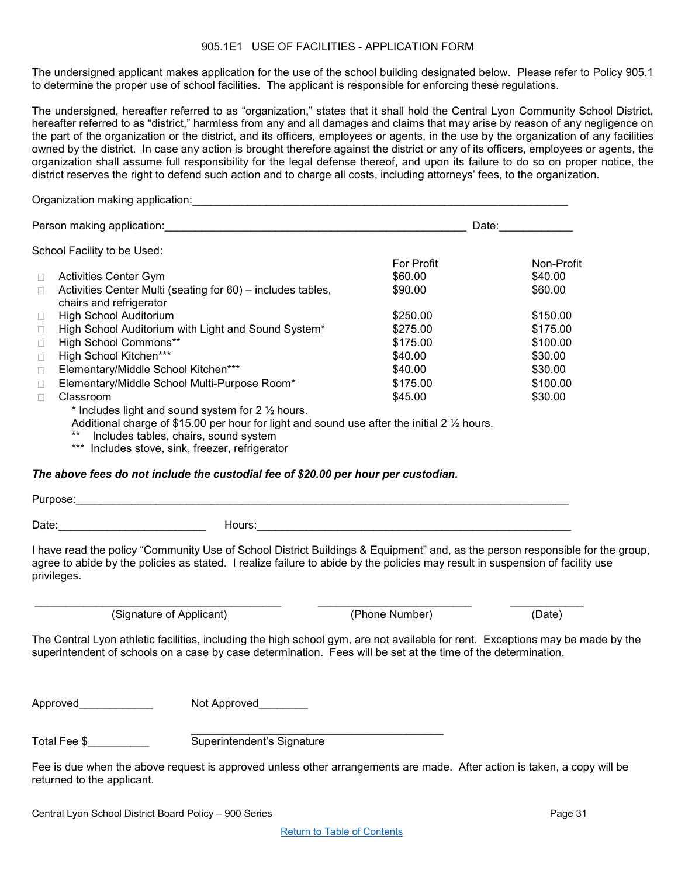#### 905.1E1 USE OF FACILITIES - APPLICATION FORM

<span id="page-30-0"></span>The undersigned applicant makes application for the use of the school building designated below. Please refer to Policy 905.1 to determine the proper use of school facilities. The applicant is responsible for enforcing these regulations.

The undersigned, hereafter referred to as "organization," states that it shall hold the Central Lyon Community School District, hereafter referred to as "district," harmless from any and all damages and claims that may arise by reason of any negligence on the part of the organization or the district, and its officers, employees or agents, in the use by the organization of any facilities owned by the district. In case any action is brought therefore against the district or any of its officers, employees or agents, the organization shall assume full responsibility for the legal defense thereof, and upon its failure to do so on proper notice, the district reserves the right to defend such action and to charge all costs, including attorneys' fees, to the organization.

Organization making application:\_\_\_\_\_\_\_\_\_\_\_\_\_\_\_\_\_\_\_\_\_\_\_\_\_\_\_\_\_\_\_\_\_\_\_\_\_\_\_\_\_\_\_\_\_\_\_\_\_\_\_\_\_\_\_\_\_\_\_\_\_ Person making application:\_\_\_\_\_\_\_\_\_\_\_\_\_\_\_\_\_\_\_\_\_\_\_\_\_\_\_\_\_\_\_\_\_\_\_\_\_\_\_\_\_\_\_\_\_\_\_\_\_ Date:\_\_\_\_\_\_\_\_\_\_\_\_ School Facility to be Used: For Profit Non-Profit  $\Box$  Activities Center Gym.  $\Box$  Activities Center Multi (seating for 60) – includes tables, chairs and refrigerator \$90.00 \$60.00  $\Box$  High School Auditorium  $$250.00$   $$150.00$ □ High School Auditorium with Light and Sound System\* \$275.00 \$175.00 □ High School Commons\*\* \$175.00 \$100.00<br>□ High School Kitchen\*\*\* \$40.00 \$30.00 □ High School Kitchen\*\*\* \$40.00 \$30.00 □ Elementary/Middle School Kitchen\*\*\* \$40.00 \$30.00 Elementary/Middle School Multi-Purpose Room\* \$175.00 \$100.00 □ Classroom \$45.00 \$30.00  $*$  Includes light and sound system for 2  $\frac{1}{2}$  hours.

Additional charge of \$15.00 per hour for light and sound use after the initial 2  $\frac{1}{2}$  hours.

\*\* Includes tables, chairs, sound system

\*\*\* Includes stove, sink, freezer, refrigerator

## *The above fees do not include the custodial fee of \$20.00 per hour per custodian.*

| Purpose: |        |
|----------|--------|
| Date:    | Hours: |

I have read the policy "Community Use of School District Buildings & Equipment" and, as the person responsible for the group, agree to abide by the policies as stated. I realize failure to abide by the policies may result in suspension of facility use privileges.

(Signature of Applicant) (Phone Number) (Date)

 $(Phone\;Number)$ 

The Central Lyon athletic facilities, including the high school gym, are not available for rent. Exceptions may be made by the superintendent of schools on a case by case determination. Fees will be set at the time of the determination.

Approved Mot Approved

Total Fee \$ Total Fee \$

Fee is due when the above request is approved unless other arrangements are made. After action is taken, a copy will be returned to the applicant.

\_\_\_\_\_\_\_\_\_\_\_\_\_\_\_\_\_\_\_\_\_\_\_\_\_\_\_\_\_\_\_\_\_\_\_\_\_\_\_\_\_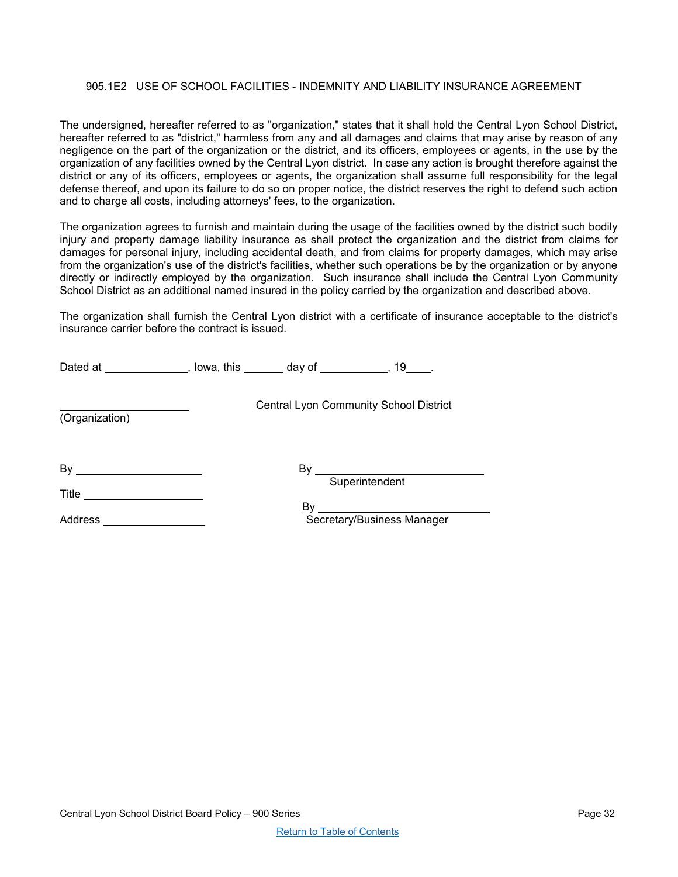## <span id="page-31-0"></span>905.1E2 USE OF SCHOOL FACILITIES - INDEMNITY AND LIABILITY INSURANCE AGREEMENT

The undersigned, hereafter referred to as "organization," states that it shall hold the Central Lyon School District, hereafter referred to as "district," harmless from any and all damages and claims that may arise by reason of any negligence on the part of the organization or the district, and its officers, employees or agents, in the use by the organization of any facilities owned by the Central Lyon district. In case any action is brought therefore against the district or any of its officers, employees or agents, the organization shall assume full responsibility for the legal defense thereof, and upon its failure to do so on proper notice, the district reserves the right to defend such action and to charge all costs, including attorneys' fees, to the organization.

The organization agrees to furnish and maintain during the usage of the facilities owned by the district such bodily injury and property damage liability insurance as shall protect the organization and the district from claims for damages for personal injury, including accidental death, and from claims for property damages, which may arise from the organization's use of the district's facilities, whether such operations be by the organization or by anyone directly or indirectly employed by the organization. Such insurance shall include the Central Lyon Community School District as an additional named insured in the policy carried by the organization and described above.

The organization shall furnish the Central Lyon district with a certificate of insurance acceptable to the district's insurance carrier before the contract is issued.

|                | Dated at ______________, lowa, this _______ day of __________, 19____. |    |                                                                                                             |  |
|----------------|------------------------------------------------------------------------|----|-------------------------------------------------------------------------------------------------------------|--|
| (Organization) |                                                                        |    | <b>Central Lyon Community School District</b>                                                               |  |
| $\mathsf{By}$  |                                                                        | By | the control of the control of the control of the control of the control of the control of<br>Superintendent |  |
| Title          |                                                                        |    |                                                                                                             |  |
| <b>Address</b> |                                                                        |    | Secretary/Business Manager                                                                                  |  |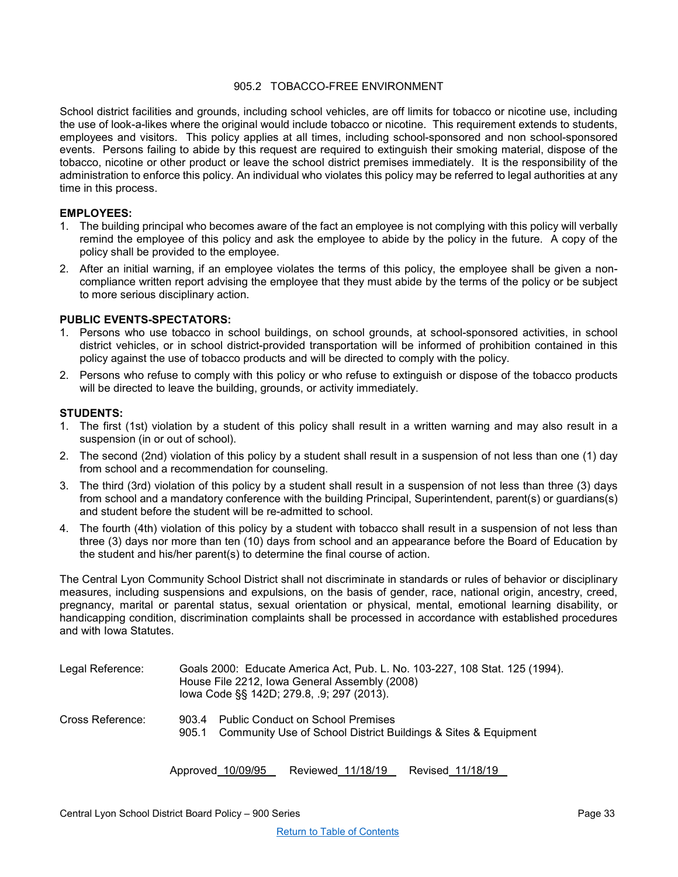## 905.2 TOBACCO-FREE ENVIRONMENT

<span id="page-32-0"></span>School district facilities and grounds, including school vehicles, are off limits for tobacco or nicotine use, including the use of look-a-likes where the original would include tobacco or nicotine. This requirement extends to students, employees and visitors. This policy applies at all times, including school-sponsored and non school-sponsored events. Persons failing to abide by this request are required to extinguish their smoking material, dispose of the tobacco, nicotine or other product or leave the school district premises immediately. It is the responsibility of the administration to enforce this policy. An individual who violates this policy may be referred to legal authorities at any time in this process.

## **EMPLOYEES:**

- 1. The building principal who becomes aware of the fact an employee is not complying with this policy will verbally remind the employee of this policy and ask the employee to abide by the policy in the future. A copy of the policy shall be provided to the employee.
- 2. After an initial warning, if an employee violates the terms of this policy, the employee shall be given a noncompliance written report advising the employee that they must abide by the terms of the policy or be subject to more serious disciplinary action.

## **PUBLIC EVENTS-SPECTATORS:**

- 1. Persons who use tobacco in school buildings, on school grounds, at school-sponsored activities, in school district vehicles, or in school district-provided transportation will be informed of prohibition contained in this policy against the use of tobacco products and will be directed to comply with the policy.
- 2. Persons who refuse to comply with this policy or who refuse to extinguish or dispose of the tobacco products will be directed to leave the building, grounds, or activity immediately.

## **STUDENTS:**

- 1. The first (1st) violation by a student of this policy shall result in a written warning and may also result in a suspension (in or out of school).
- 2. The second (2nd) violation of this policy by a student shall result in a suspension of not less than one (1) day from school and a recommendation for counseling.
- 3. The third (3rd) violation of this policy by a student shall result in a suspension of not less than three (3) days from school and a mandatory conference with the building Principal, Superintendent, parent(s) or guardians(s) and student before the student will be re-admitted to school.
- 4. The fourth (4th) violation of this policy by a student with tobacco shall result in a suspension of not less than three (3) days nor more than ten (10) days from school and an appearance before the Board of Education by the student and his/her parent(s) to determine the final course of action.

The Central Lyon Community School District shall not discriminate in standards or rules of behavior or disciplinary measures, including suspensions and expulsions, on the basis of gender, race, national origin, ancestry, creed, pregnancy, marital or parental status, sexual orientation or physical, mental, emotional learning disability, or handicapping condition, discrimination complaints shall be processed in accordance with established procedures and with Iowa Statutes.

| Legal Reference: | Goals 2000: Educate America Act, Pub. L. No. 103-227, 108 Stat. 125 (1994).<br>House File 2212, Iowa General Assembly (2008)<br>lowa Code §§ 142D; 279.8, .9; 297 (2013). |                                                                                                            |
|------------------|---------------------------------------------------------------------------------------------------------------------------------------------------------------------------|------------------------------------------------------------------------------------------------------------|
| Cross Reference: | 903.4<br>905.1                                                                                                                                                            | <b>Public Conduct on School Premises</b><br>Community Use of School District Buildings & Sites & Equipment |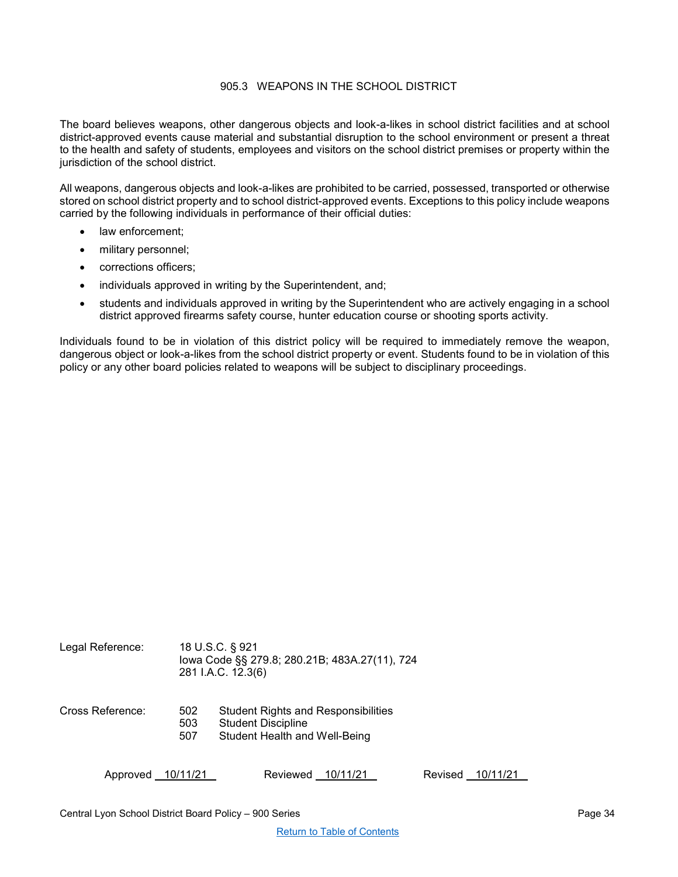## 905.3 WEAPONS IN THE SCHOOL DISTRICT

<span id="page-33-0"></span>The board believes weapons, other dangerous objects and look-a-likes in school district facilities and at school district-approved events cause material and substantial disruption to the school environment or present a threat to the health and safety of students, employees and visitors on the school district premises or property within the jurisdiction of the school district.

All weapons, dangerous objects and look-a-likes are prohibited to be carried, possessed, transported or otherwise stored on school district property and to school district-approved events. Exceptions to this policy include weapons carried by the following individuals in performance of their official duties:

- law enforcement:
- military personnel;
- corrections officers;
- individuals approved in writing by the Superintendent, and;
- students and individuals approved in writing by the Superintendent who are actively engaging in a school district approved firearms safety course, hunter education course or shooting sports activity.

Individuals found to be in violation of this district policy will be required to immediately remove the weapon, dangerous object or look-a-likes from the school district property or event. Students found to be in violation of this policy or any other board policies related to weapons will be subject to disciplinary proceedings.

| Legal Reference: |                   | 18 U.S.C. § 921<br>lowa Code §§ 279.8; 280.21B; 483A.27(11), 724<br>281 I.A.C. 12.3(6)                   |
|------------------|-------------------|----------------------------------------------------------------------------------------------------------|
| Cross Reference: | 502<br>503<br>507 | <b>Student Rights and Responsibilities</b><br><b>Student Discipline</b><br>Student Health and Well-Being |
| Approved         | 10/11/21          | Reviewed<br>Revised<br>10/11/21<br>10/11/21                                                              |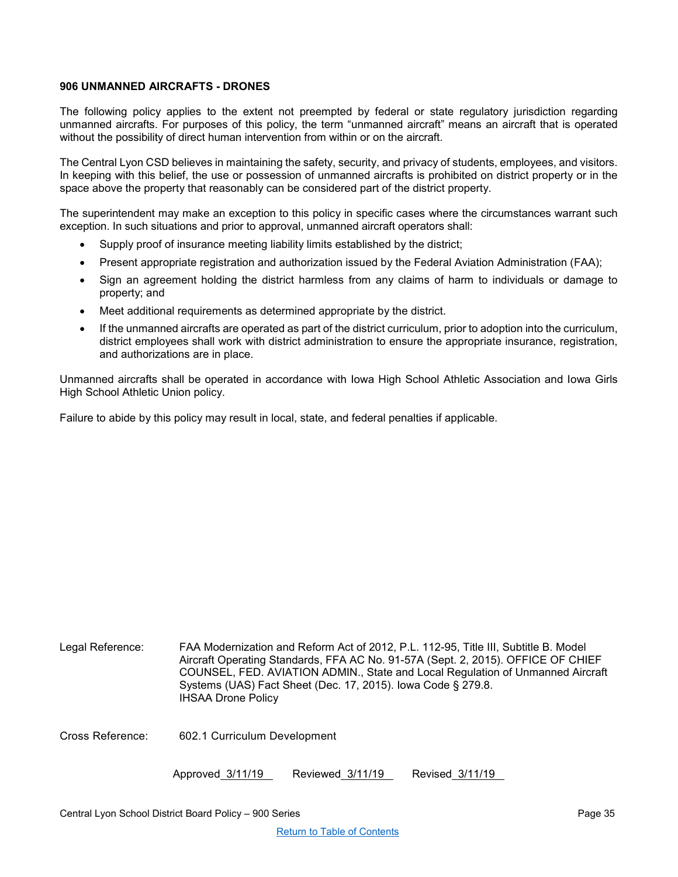## <span id="page-34-0"></span>**906 UNMANNED AIRCRAFTS - DRONES**

The following policy applies to the extent not preempted by federal or state regulatory jurisdiction regarding unmanned aircrafts. For purposes of this policy, the term "unmanned aircraft" means an aircraft that is operated without the possibility of direct human intervention from within or on the aircraft.

The Central Lyon CSD believes in maintaining the safety, security, and privacy of students, employees, and visitors. In keeping with this belief, the use or possession of unmanned aircrafts is prohibited on district property or in the space above the property that reasonably can be considered part of the district property.

The superintendent may make an exception to this policy in specific cases where the circumstances warrant such exception. In such situations and prior to approval, unmanned aircraft operators shall:

- Supply proof of insurance meeting liability limits established by the district;
- Present appropriate registration and authorization issued by the Federal Aviation Administration (FAA);
- Sign an agreement holding the district harmless from any claims of harm to individuals or damage to property; and
- Meet additional requirements as determined appropriate by the district.
- If the unmanned aircrafts are operated as part of the district curriculum, prior to adoption into the curriculum, district employees shall work with district administration to ensure the appropriate insurance, registration, and authorizations are in place.

Unmanned aircrafts shall be operated in accordance with Iowa High School Athletic Association and Iowa Girls High School Athletic Union policy.

Failure to abide by this policy may result in local, state, and federal penalties if applicable.

| Legal Reference: | FAA Modernization and Reform Act of 2012, P.L. 112-95, Title III, Subtitle B. Model<br>Aircraft Operating Standards, FFA AC No. 91-57A (Sept. 2, 2015). OFFICE OF CHIEF<br>COUNSEL, FED. AVIATION ADMIN., State and Local Regulation of Unmanned Aircraft<br>Systems (UAS) Fact Sheet (Dec. 17, 2015). Iowa Code § 279.8.<br><b>IHSAA Drone Policy</b> |  |  |
|------------------|--------------------------------------------------------------------------------------------------------------------------------------------------------------------------------------------------------------------------------------------------------------------------------------------------------------------------------------------------------|--|--|
| Cross Reference: | 602.1 Curriculum Development                                                                                                                                                                                                                                                                                                                           |  |  |
|                  | Approved 3/11/19<br>Reviewed 3/11/19<br>Revised 3/11/19                                                                                                                                                                                                                                                                                                |  |  |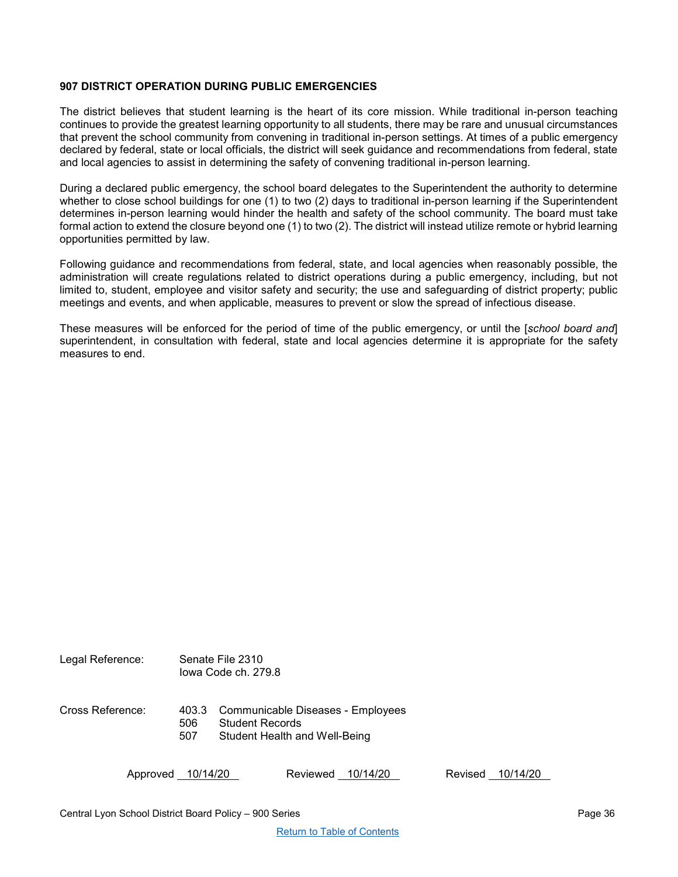## <span id="page-35-0"></span>**907 DISTRICT OPERATION DURING PUBLIC EMERGENCIES**

The district believes that student learning is the heart of its core mission. While traditional in-person teaching continues to provide the greatest learning opportunity to all students, there may be rare and unusual circumstances that prevent the school community from convening in traditional in-person settings. At times of a public emergency declared by federal, state or local officials, the district will seek guidance and recommendations from federal, state and local agencies to assist in determining the safety of convening traditional in-person learning.

During a declared public emergency, the school board delegates to the Superintendent the authority to determine whether to close school buildings for one (1) to two (2) days to traditional in-person learning if the Superintendent determines in-person learning would hinder the health and safety of the school community. The board must take formal action to extend the closure beyond one (1) to two (2). The district will instead utilize remote or hybrid learning opportunities permitted by law.

Following guidance and recommendations from federal, state, and local agencies when reasonably possible, the administration will create regulations related to district operations during a public emergency, including, but not limited to, student, employee and visitor safety and security; the use and safeguarding of district property; public meetings and events, and when applicable, measures to prevent or slow the spread of infectious disease.

These measures will be enforced for the period of time of the public emergency, or until the [*school board and*] superintendent, in consultation with federal, state and local agencies determine it is appropriate for the safety measures to end.

| Legal Reference: | Senate File 2310<br>lowa Code ch. 279.8 |                                                                                              |          |          |         |          |
|------------------|-----------------------------------------|----------------------------------------------------------------------------------------------|----------|----------|---------|----------|
| Cross Reference: | 403.3<br>506<br>507                     | Communicable Diseases - Employees<br><b>Student Records</b><br>Student Health and Well-Being |          |          |         |          |
| Approved         | 10/14/20                                |                                                                                              | Reviewed | 10/14/20 | Revised | 10/14/20 |

Central Lyon School District Board Policy – 900 Series Page 36